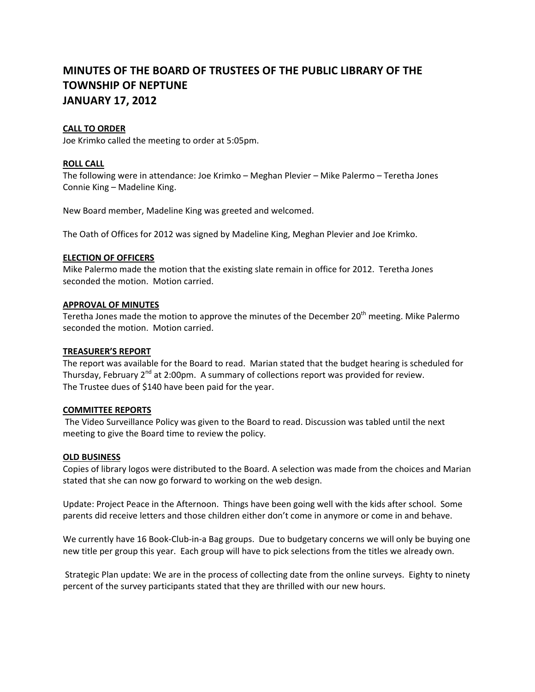# **MINUTES OF THE BOARD OF TRUSTEES OF THE PUBLIC LIBRARY OF THE TOWNSHIP OF NEPTUNE JANUARY 17, 2012**

## **CALL TO ORDER**

Joe Krimko called the meeting to order at 5:05pm.

## **ROLL CALL**

The following were in attendance: Joe Krimko – Meghan Plevier – Mike Palermo – Teretha Jones Connie King – Madeline King.

New Board member, Madeline King was greeted and welcomed.

The Oath of Offices for 2012 was signed by Madeline King, Meghan Plevier and Joe Krimko.

### **ELECTION OF OFFICERS**

Mike Palermo made the motion that the existing slate remain in office for 2012. Teretha Jones seconded the motion. Motion carried.

### **APPROVAL OF MINUTES**

Teretha Jones made the motion to approve the minutes of the December 20<sup>th</sup> meeting. Mike Palermo seconded the motion. Motion carried.

### **TREASURER'S REPORT**

The report was available for the Board to read. Marian stated that the budget hearing is scheduled for Thursday, February 2<sup>nd</sup> at 2:00pm. A summary of collections report was provided for review. The Trustee dues of \$140 have been paid for the year.

### **COMMITTEE REPORTS**

The Video Surveillance Policy was given to the Board to read. Discussion was tabled until the next meeting to give the Board time to review the policy.

### **OLD BUSINESS**

Copies of library logos were distributed to the Board. A selection was made from the choices and Marian stated that she can now go forward to working on the web design.

Update: Project Peace in the Afternoon. Things have been going well with the kids after school. Some parents did receive letters and those children either don't come in anymore or come in and behave.

We currently have 16 Book-Club-in-a Bag groups. Due to budgetary concerns we will only be buying one new title per group this year. Each group will have to pick selections from the titles we already own.

Strategic Plan update: We are in the process of collecting date from the online surveys. Eighty to ninety percent of the survey participants stated that they are thrilled with our new hours.